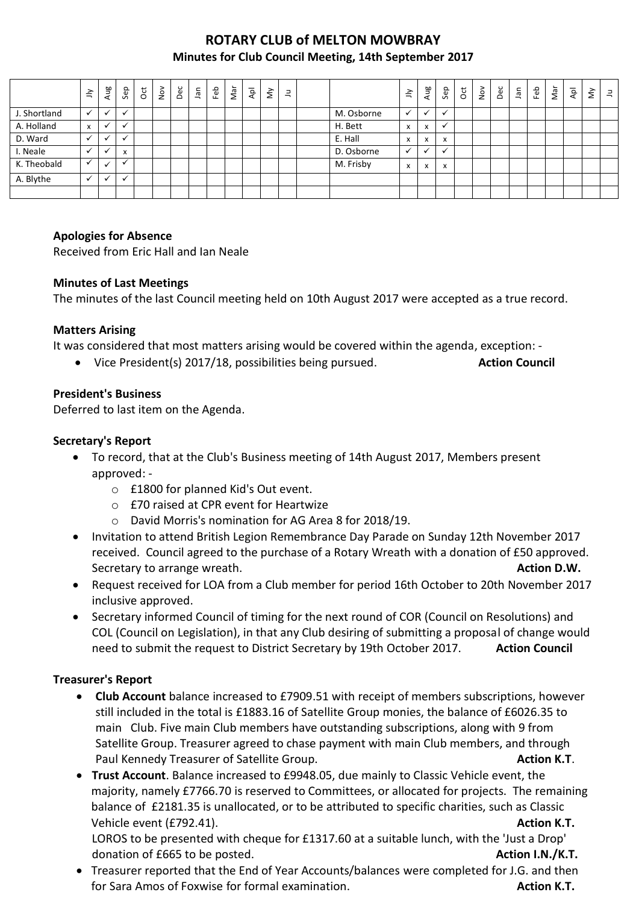# **ROTARY CLUB of MELTON MOWBRAY Minutes for Club Council Meeting, 14th September 2017**

|              | $\preceq$    | Aug          | Sep                       | ğ | $\sum_{i=1}^{\infty}$ | Dec | Jan | Feb | Nar | $\overline{P}$ | $\check{\boldsymbol{\Sigma}}$ | 크 |            | ≧ | Aug                  | Sep | $\overline{5}$ | $\sum_{i=1}^{\infty}$ | Dec | nel. | Feb | Nar | $\bar{A}$ | $\check{\varepsilon}$ | $\exists$ |
|--------------|--------------|--------------|---------------------------|---|-----------------------|-----|-----|-----|-----|----------------|-------------------------------|---|------------|---|----------------------|-----|----------------|-----------------------|-----|------|-----|-----|-----------|-----------------------|-----------|
| J. Shortland | ✓            | $\checkmark$ | $\mathbf{v}$              |   |                       |     |     |     |     |                |                               |   | M. Osborne |   | $\checkmark$         |     |                |                       |     |      |     |     |           |                       |           |
| A. Holland   | x            | ✓            | $\checkmark$              |   |                       |     |     |     |     |                |                               |   | H. Bett    | x | X                    |     |                |                       |     |      |     |     |           |                       |           |
| D. Ward      | $\checkmark$ | ╰            | $\checkmark$              |   |                       |     |     |     |     |                |                               |   | E. Hall    | x | x                    | X   |                |                       |     |      |     |     |           |                       |           |
| I. Neale     |              |              | $\boldsymbol{\mathsf{x}}$ |   |                       |     |     |     |     |                |                               |   | D. Osborne |   | $\ddot{\phantom{0}}$ |     |                |                       |     |      |     |     |           |                       |           |
| K. Theobald  |              | ✔            | $\overline{\phantom{a}}$  |   |                       |     |     |     |     |                |                               |   | M. Frisby  | x | X                    | x   |                |                       |     |      |     |     |           |                       |           |
| A. Blythe    |              |              | $\checkmark$              |   |                       |     |     |     |     |                |                               |   |            |   |                      |     |                |                       |     |      |     |     |           |                       |           |
|              |              |              |                           |   |                       |     |     |     |     |                |                               |   |            |   |                      |     |                |                       |     |      |     |     |           |                       |           |

### **Apologies for Absence**

Received from Eric Hall and Ian Neale

### **Minutes of Last Meetings**

The minutes of the last Council meeting held on 10th August 2017 were accepted as a true record.

### **Matters Arising**

It was considered that most matters arising would be covered within the agenda, exception: -

• Vice President(s) 2017/18, possibilities being pursued. Action Council

### **President's Business**

Deferred to last item on the Agenda.

### **Secretary's Report**

- To record, that at the Club's Business meeting of 14th August 2017, Members present approved:
	- o £1800 for planned Kid's Out event.
	- o £70 raised at CPR event for Heartwize
	- o David Morris's nomination for AG Area 8 for 2018/19.
- Invitation to attend British Legion Remembrance Day Parade on Sunday 12th November 2017 received. Council agreed to the purchase of a Rotary Wreath with a donation of £50 approved. Secretary to arrange wreath. **Action D.W. Action D.W. Action D.W. Action D.W.**
- Request received for LOA from a Club member for period 16th October to 20th November 2017 inclusive approved.
- Secretary informed Council of timing for the next round of COR (Council on Resolutions) and COL (Council on Legislation), in that any Club desiring of submitting a proposal of change would need to submit the request to District Secretary by 19th October 2017. **Action Council**

#### **Treasurer's Report**

- **Club Account** balance increased to £7909.51 with receipt of members subscriptions, however still included in the total is £1883.16 of Satellite Group monies, the balance of £6026.35 to main Club. Five main Club members have outstanding subscriptions, along with 9 from Satellite Group. Treasurer agreed to chase payment with main Club members, and through Paul Kennedy Treasurer of Satellite Group. **Action K.T. Action K.T. Action K.T.**
- **Trust Account**. Balance increased to £9948.05, due mainly to Classic Vehicle event, the majority, namely £7766.70 is reserved to Committees, or allocated for projects. The remaining balance of £2181.35 is unallocated, or to be attributed to specific charities, such as Classic Vehicle event (£792.41). **Action K.T.** LOROS to be presented with cheque for £1317.60 at a suitable lunch, with the 'Just a Drop' donation of £665 to be posted. **Action I.N./K.T.**
- Treasurer reported that the End of Year Accounts/balances were completed for J.G. and then for Sara Amos of Foxwise for formal examination. **Action K.T.**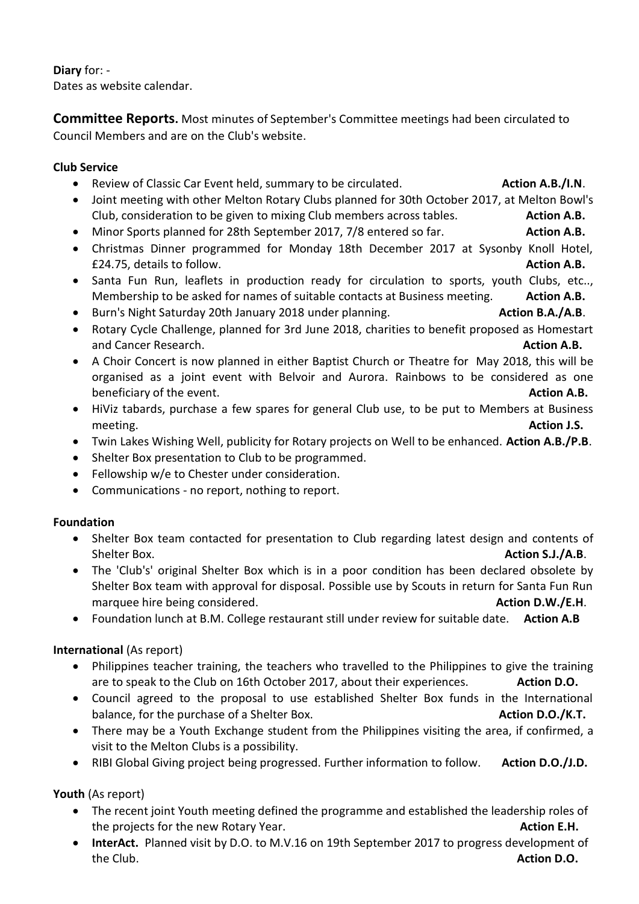# **Diary** for: -

Dates as website calendar.

**Committee Reports.** Most minutes of September's Committee meetings had been circulated to Council Members and are on the Club's website.

# **Club Service**

- **•** Review of Classic Car Event held, summary to be circulated. **Action A.B./I.N.**
- Joint meeting with other Melton Rotary Clubs planned for 30th October 2017, at Melton Bowl's Club, consideration to be given to mixing Club members across tables. **Action A.B.**
- Minor Sports planned for 28th September 2017, 7/8 entered so far. **Action A.B.**
- Christmas Dinner programmed for Monday 18th December 2017 at Sysonby Knoll Hotel, £24.75, details to follow. **Action A.B.**
- Santa Fun Run, leaflets in production ready for circulation to sports, youth Clubs, etc.., Membership to be asked for names of suitable contacts at Business meeting. **Action A.B.**
- Burn's Night Saturday 20th January 2018 under planning. **Action B.A./A.B. Action B.A./A.B.**
- Rotary Cycle Challenge, planned for 3rd June 2018, charities to benefit proposed as Homestart and Cancer Research. **Action A.B. Action A.B. Action A.B. Action A.B. Action A.B.**
- A Choir Concert is now planned in either Baptist Church or Theatre for May 2018, this will be organised as a joint event with Belvoir and Aurora. Rainbows to be considered as one beneficiary of the event. **Action A.B. Action A.B. Action A.B.**
- HiViz tabards, purchase a few spares for general Club use, to be put to Members at Business meeting. **Action J.S.**
- Twin Lakes Wishing Well, publicity for Rotary projects on Well to be enhanced. **Action A.B./P.B**.
- Shelter Box presentation to Club to be programmed.
- Fellowship w/e to Chester under consideration.
- Communications no report, nothing to report.

### **Foundation**

- Shelter Box team contacted for presentation to Club regarding latest design and contents of Shelter Box. **Action S.J./A.B**.
- The 'Club's' original Shelter Box which is in a poor condition has been declared obsolete by Shelter Box team with approval for disposal. Possible use by Scouts in return for Santa Fun Run marquee hire being considered. **Action D.W./E.H. Action D.W./E.H.**
- Foundation lunch at B.M. College restaurant still under review for suitable date. **Action A.B**

# **International** (As report)

- Philippines teacher training, the teachers who travelled to the Philippines to give the training are to speak to the Club on 16th October 2017, about their experiences. **Action D.O.**
- Council agreed to the proposal to use established Shelter Box funds in the International balance, for the purchase of a Shelter Box. **Action D.O./K.T. Action D.O./K.T.**
- There may be a Youth Exchange student from the Philippines visiting the area, if confirmed, a visit to the Melton Clubs is a possibility.
- RIBI Global Giving project being progressed. Further information to follow. Action D.O./J.D.

**Youth** (As report)

- The recent joint Youth meeting defined the programme and established the leadership roles of the projects for the new Rotary Year. **Action E.H.**
- **InterAct.** Planned visit by D.O. to M.V.16 on 19th September 2017 to progress development of the Club. **Action D.O.**